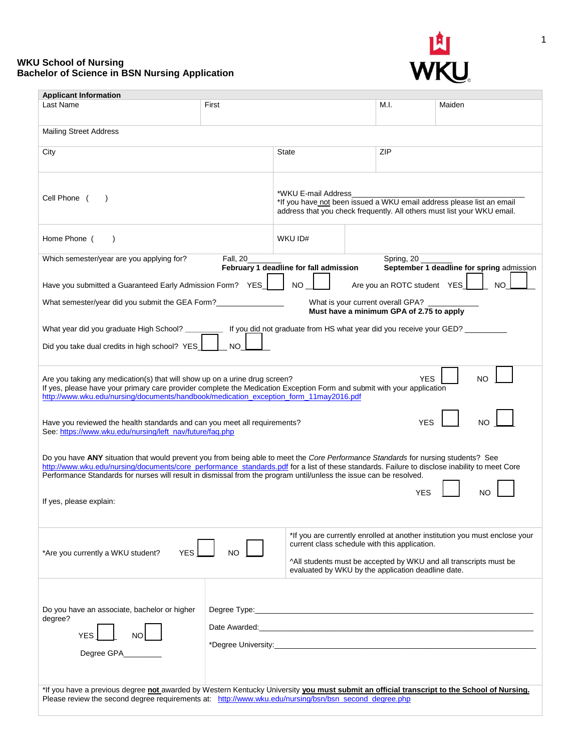## **WKU School of Nursing Bachelor of Science in BSN Nursing Application**



| <b>Applicant Information</b>                                                                                                                                                                                                                                                                                                                                                                             |          |                                                                                                                                                                         |     |                              |                                                                                                                                                  |
|----------------------------------------------------------------------------------------------------------------------------------------------------------------------------------------------------------------------------------------------------------------------------------------------------------------------------------------------------------------------------------------------------------|----------|-------------------------------------------------------------------------------------------------------------------------------------------------------------------------|-----|------------------------------|--------------------------------------------------------------------------------------------------------------------------------------------------|
| Last Name                                                                                                                                                                                                                                                                                                                                                                                                | First    |                                                                                                                                                                         |     | M.I.                         | Maiden                                                                                                                                           |
| <b>Mailing Street Address</b>                                                                                                                                                                                                                                                                                                                                                                            |          |                                                                                                                                                                         |     |                              |                                                                                                                                                  |
| City                                                                                                                                                                                                                                                                                                                                                                                                     |          | State                                                                                                                                                                   |     | ZIP                          |                                                                                                                                                  |
| Cell Phone (                                                                                                                                                                                                                                                                                                                                                                                             |          | *WKU E-mail Address<br>*If you have not been issued a WKU email address please list an email<br>address that you check frequently. All others must list your WKU email. |     |                              |                                                                                                                                                  |
| Home Phone (<br>$\lambda$                                                                                                                                                                                                                                                                                                                                                                                |          | WKU ID#                                                                                                                                                                 |     |                              |                                                                                                                                                  |
| Which semester/year are you applying for?                                                                                                                                                                                                                                                                                                                                                                | Fall, 20 | February 1 deadline for fall admission                                                                                                                                  |     | Spring, 20                   | September 1 deadline for spring admission                                                                                                        |
| Have you submitted a Guaranteed Early Admission Form? YES_                                                                                                                                                                                                                                                                                                                                               |          | <b>NO</b>                                                                                                                                                               |     | Are you an ROTC student YES_ | <b>NO</b>                                                                                                                                        |
| What semester/year did you submit the GEA Form?<br>What is your current overall GPA? _<br>Must have a minimum GPA of 2.75 to apply                                                                                                                                                                                                                                                                       |          |                                                                                                                                                                         |     |                              |                                                                                                                                                  |
| What year did you graduate High School? ____________ If you did not graduate from HS what year did you receive your GED? __________                                                                                                                                                                                                                                                                      |          |                                                                                                                                                                         |     |                              |                                                                                                                                                  |
| Did you take dual credits in high school? YES<br>NO.                                                                                                                                                                                                                                                                                                                                                     |          |                                                                                                                                                                         |     |                              |                                                                                                                                                  |
| YES<br>NO<br>Are you taking any medication(s) that will show up on a urine drug screen?<br>If yes, please have your primary care provider complete the Medication Exception Form and submit with your application<br>http://www.wku.edu/nursing/documents/handbook/medication_exception_form_11may2016.pdf                                                                                               |          |                                                                                                                                                                         |     |                              |                                                                                                                                                  |
| Have you reviewed the health standards and can you meet all requirements?<br>See: https://www.wku.edu/nursing/left_nav/future/fag.php                                                                                                                                                                                                                                                                    |          |                                                                                                                                                                         | YES |                              |                                                                                                                                                  |
| Do you have ANY situation that would prevent you from being able to meet the Core Performance Standards for nursing students? See<br>http://www.wku.edu/nursing/documents/core_performance_standards.pdf for a list of these standards. Failure to disclose inability to meet Core<br>Performance Standards for nurses will result in dismissal from the program until/unless the issue can be resolved. |          |                                                                                                                                                                         |     |                              |                                                                                                                                                  |
| If yes, please explain:                                                                                                                                                                                                                                                                                                                                                                                  |          |                                                                                                                                                                         |     | YES                          |                                                                                                                                                  |
| <b>YFS</b><br>*Are you currently a WKU student?                                                                                                                                                                                                                                                                                                                                                          |          | current class schedule with this application.<br>evaluated by WKU by the application deadline date.                                                                     |     |                              | *If you are currently enrolled at another institution you must enclose your<br>^All students must be accepted by WKU and all transcripts must be |
| Do you have an associate, bachelor or higher<br>degree?<br><b>YES</b><br>Degree GPA                                                                                                                                                                                                                                                                                                                      |          |                                                                                                                                                                         |     |                              |                                                                                                                                                  |
| *If you have a previous degree not awarded by Western Kentucky University you must submit an official transcript to the School of Nursing.<br>Please review the second degree requirements at: http://www.wku.edu/nursing/bsn/bsn_second_degree.php                                                                                                                                                      |          |                                                                                                                                                                         |     |                              |                                                                                                                                                  |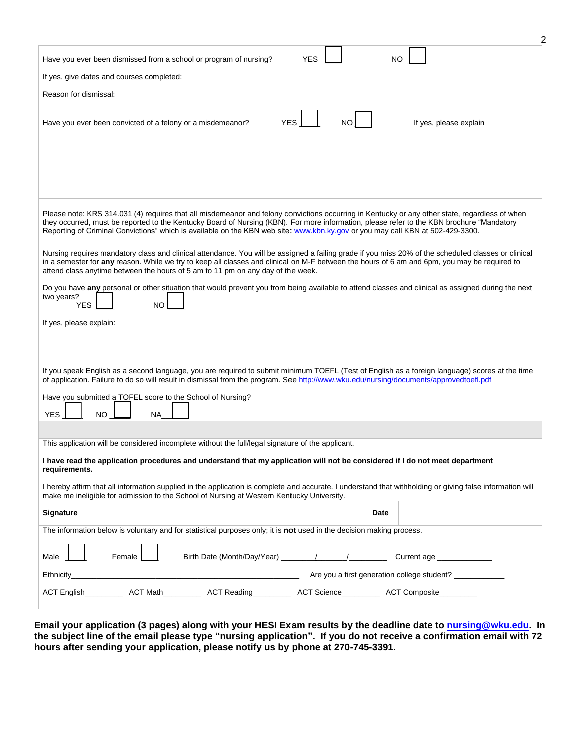| <b>YES</b><br>Have you ever been dismissed from a school or program of nursing?                                                                                                                                                                                                                     | NO                     |  |  |  |  |  |
|-----------------------------------------------------------------------------------------------------------------------------------------------------------------------------------------------------------------------------------------------------------------------------------------------------|------------------------|--|--|--|--|--|
| If yes, give dates and courses completed:                                                                                                                                                                                                                                                           |                        |  |  |  |  |  |
| Reason for dismissal:                                                                                                                                                                                                                                                                               |                        |  |  |  |  |  |
|                                                                                                                                                                                                                                                                                                     |                        |  |  |  |  |  |
| <b>YES</b><br><b>NO</b><br>Have you ever been convicted of a felony or a misdemeanor?                                                                                                                                                                                                               | If yes, please explain |  |  |  |  |  |
|                                                                                                                                                                                                                                                                                                     |                        |  |  |  |  |  |
|                                                                                                                                                                                                                                                                                                     |                        |  |  |  |  |  |
|                                                                                                                                                                                                                                                                                                     |                        |  |  |  |  |  |
|                                                                                                                                                                                                                                                                                                     |                        |  |  |  |  |  |
| Please note: KRS 314.031 (4) requires that all misdemeanor and felony convictions occurring in Kentucky or any other state, regardless of when                                                                                                                                                      |                        |  |  |  |  |  |
| they occurred, must be reported to the Kentucky Board of Nursing (KBN). For more information, please refer to the KBN brochure "Mandatory<br>Reporting of Criminal Convictions" which is available on the KBN web site: www.kbn.ky.gov or you may call KBN at 502-429-3300.                         |                        |  |  |  |  |  |
|                                                                                                                                                                                                                                                                                                     |                        |  |  |  |  |  |
| Nursing requires mandatory class and clinical attendance. You will be assigned a failing grade if you miss 20% of the scheduled classes or clinical<br>in a semester for any reason. While we try to keep all classes and clinical on M-F between the hours of 6 am and 6pm, you may be required to |                        |  |  |  |  |  |
| attend class anytime between the hours of 5 am to 11 pm on any day of the week.                                                                                                                                                                                                                     |                        |  |  |  |  |  |
| Do you have any personal or other situation that would prevent you from being available to attend classes and clinical as assigned during the next<br>two years?                                                                                                                                    |                        |  |  |  |  |  |
| <b>YES</b><br><b>NO</b>                                                                                                                                                                                                                                                                             |                        |  |  |  |  |  |
| If yes, please explain:                                                                                                                                                                                                                                                                             |                        |  |  |  |  |  |
|                                                                                                                                                                                                                                                                                                     |                        |  |  |  |  |  |
|                                                                                                                                                                                                                                                                                                     |                        |  |  |  |  |  |
| If you speak English as a second language, you are required to submit minimum TOEFL (Test of English as a foreign language) scores at the time<br>of application. Failure to do so will result in dismissal from the program. See http://www.wku.edu/nursing/documents/approvedtoefl.pdf            |                        |  |  |  |  |  |
| Have you submitted a TOFEL score to the School of Nursing?                                                                                                                                                                                                                                          |                        |  |  |  |  |  |
| <b>YES</b><br><b>NO</b><br><b>NA</b>                                                                                                                                                                                                                                                                |                        |  |  |  |  |  |
|                                                                                                                                                                                                                                                                                                     |                        |  |  |  |  |  |
| This application will be considered incomplete without the full/legal signature of the applicant.                                                                                                                                                                                                   |                        |  |  |  |  |  |
| I have read the application procedures and understand that my application will not be considered if I do not meet department<br>requirements.                                                                                                                                                       |                        |  |  |  |  |  |
| I hereby affirm that all information supplied in the application is complete and accurate. I understand that withholding or giving false information will<br>make me ineligible for admission to the School of Nursing at Western Kentucky University.                                              |                        |  |  |  |  |  |
| <b>Signature</b>                                                                                                                                                                                                                                                                                    | Date                   |  |  |  |  |  |
| The information below is voluntary and for statistical purposes only; it is not used in the decision making process.                                                                                                                                                                                |                        |  |  |  |  |  |
|                                                                                                                                                                                                                                                                                                     |                        |  |  |  |  |  |
| Female<br>Male                                                                                                                                                                                                                                                                                      | Current age            |  |  |  |  |  |
|                                                                                                                                                                                                                                                                                                     |                        |  |  |  |  |  |
| ACT English______________ ACT Math______________ ACT Reading_____________ ACT Composite____________                                                                                                                                                                                                 |                        |  |  |  |  |  |
|                                                                                                                                                                                                                                                                                                     |                        |  |  |  |  |  |

2

**Email your application (3 pages) along with your HESI Exam results by the deadline date to [nursing@wku.edu.](mailto:nursing@wku.edu?subject=Nursing%20Application) In the subject line of the email please type "nursing application". If you do not receive a confirmation email with 72 hours after sending your application, please notify us by phone at 270-745-3391.**